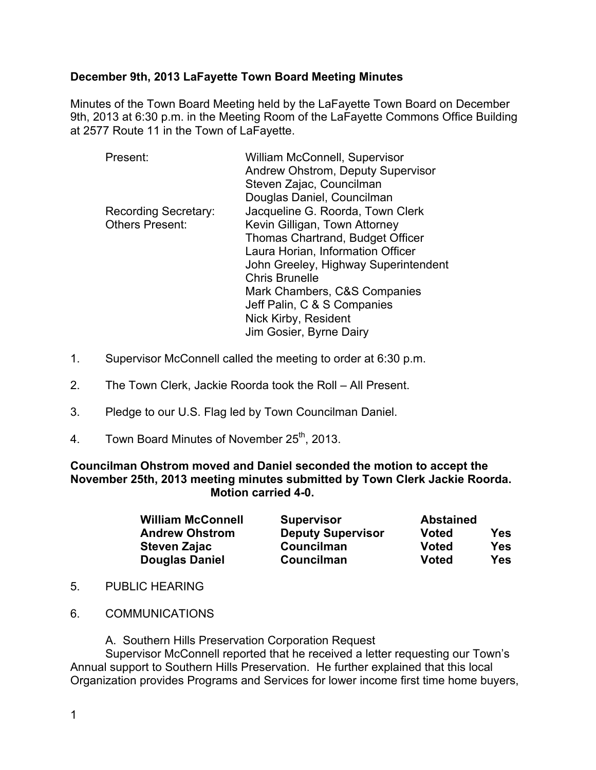### **December 9th, 2013 LaFayette Town Board Meeting Minutes**

Minutes of the Town Board Meeting held by the LaFayette Town Board on December 9th, 2013 at 6:30 p.m. in the Meeting Room of the LaFayette Commons Office Building at 2577 Route 11 in the Town of LaFayette.

| <b>William McConnell, Supervisor</b> |
|--------------------------------------|
| Andrew Ohstrom, Deputy Supervisor    |
| Steven Zajac, Councilman             |
| Douglas Daniel, Councilman           |
| Jacqueline G. Roorda, Town Clerk     |
| Kevin Gilligan, Town Attorney        |
| Thomas Chartrand, Budget Officer     |
| Laura Horian, Information Officer    |
| John Greeley, Highway Superintendent |
| <b>Chris Brunelle</b>                |
| Mark Chambers, C&S Companies         |
| Jeff Palin, C & S Companies          |
| Nick Kirby, Resident                 |
| Jim Gosier, Byrne Dairy              |
|                                      |

- 1. Supervisor McConnell called the meeting to order at 6:30 p.m.
- 2. The Town Clerk, Jackie Roorda took the Roll All Present.
- 3. Pledge to our U.S. Flag led by Town Councilman Daniel.
- 4. Town Board Minutes of November 25<sup>th</sup>, 2013.

**Councilman Ohstrom moved and Daniel seconded the motion to accept the November 25th, 2013 meeting minutes submitted by Town Clerk Jackie Roorda. Motion carried 4-0.**

| <b>William McConnell</b><br><b>Supervisor</b> |                          | <b>Abstained</b> |     |
|-----------------------------------------------|--------------------------|------------------|-----|
| <b>Andrew Ohstrom</b>                         | <b>Deputy Supervisor</b> | <b>Voted</b>     | Yes |
| Steven Zajac                                  | Councilman               | Voted            | Yes |
| <b>Douglas Daniel</b>                         | Councilman               | <b>Voted</b>     | Yes |

- 5. PUBLIC HEARING
- 6. COMMUNICATIONS

A. Southern Hills Preservation Corporation Request

Supervisor McConnell reported that he received a letter requesting our Town's Annual support to Southern Hills Preservation. He further explained that this local Organization provides Programs and Services for lower income first time home buyers,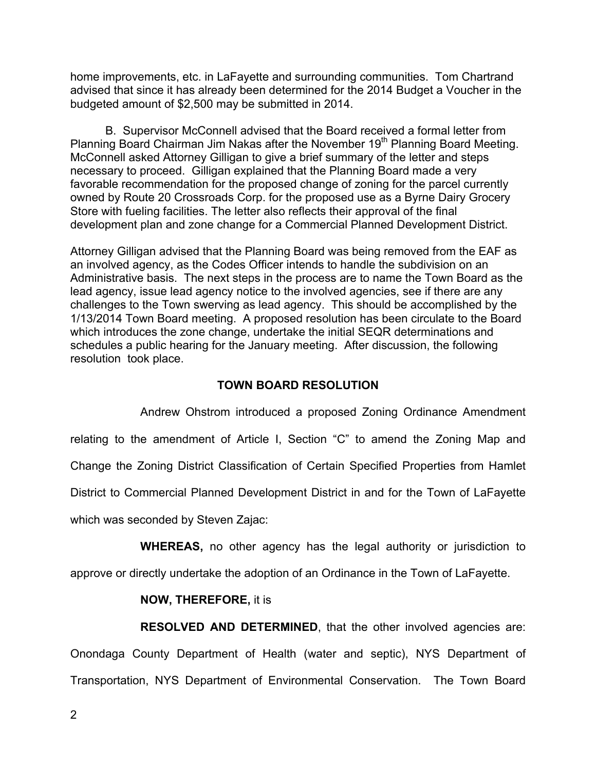home improvements, etc. in LaFayette and surrounding communities. Tom Chartrand advised that since it has already been determined for the 2014 Budget a Voucher in the budgeted amount of \$2,500 may be submitted in 2014.

B. Supervisor McConnell advised that the Board received a formal letter from Planning Board Chairman Jim Nakas after the November 19<sup>th</sup> Planning Board Meeting. McConnell asked Attorney Gilligan to give a brief summary of the letter and steps necessary to proceed. Gilligan explained that the Planning Board made a very favorable recommendation for the proposed change of zoning for the parcel currently owned by Route 20 Crossroads Corp. for the proposed use as a Byrne Dairy Grocery Store with fueling facilities. The letter also reflects their approval of the final development plan and zone change for a Commercial Planned Development District.

Attorney Gilligan advised that the Planning Board was being removed from the EAF as an involved agency, as the Codes Officer intends to handle the subdivision on an Administrative basis. The next steps in the process are to name the Town Board as the lead agency, issue lead agency notice to the involved agencies, see if there are any challenges to the Town swerving as lead agency. This should be accomplished by the 1/13/2014 Town Board meeting. A proposed resolution has been circulate to the Board which introduces the zone change, undertake the initial SEQR determinations and schedules a public hearing for the January meeting. After discussion, the following resolution took place.

#### **TOWN BOARD RESOLUTION**

Andrew Ohstrom introduced a proposed Zoning Ordinance Amendment relating to the amendment of Article I, Section "C" to amend the Zoning Map and Change the Zoning District Classification of Certain Specified Properties from Hamlet District to Commercial Planned Development District in and for the Town of LaFayette which was seconded by Steven Zajac:

**WHEREAS,** no other agency has the legal authority or jurisdiction to

approve or directly undertake the adoption of an Ordinance in the Town of LaFayette.

#### **NOW, THEREFORE,** it is

**RESOLVED AND DETERMINED**, that the other involved agencies are: Onondaga County Department of Health (water and septic), NYS Department of Transportation, NYS Department of Environmental Conservation. The Town Board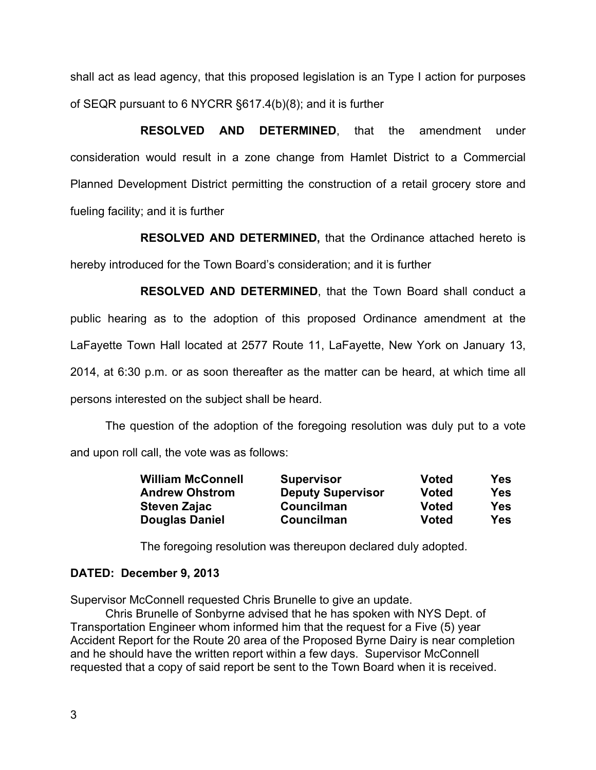shall act as lead agency, that this proposed legislation is an Type I action for purposes of SEQR pursuant to 6 NYCRR §617.4(b)(8); and it is further

**RESOLVED AND DETERMINED**, that the amendment under consideration would result in a zone change from Hamlet District to a Commercial Planned Development District permitting the construction of a retail grocery store and fueling facility; and it is further

**RESOLVED AND DETERMINED,** that the Ordinance attached hereto is hereby introduced for the Town Board's consideration; and it is further

**RESOLVED AND DETERMINED**, that the Town Board shall conduct a public hearing as to the adoption of this proposed Ordinance amendment at the LaFayette Town Hall located at 2577 Route 11, LaFayette, New York on January 13, 2014, at 6:30 p.m. or as soon thereafter as the matter can be heard, at which time all persons interested on the subject shall be heard.

The question of the adoption of the foregoing resolution was duly put to a vote and upon roll call, the vote was as follows:

| <b>William McConnell</b> | <b>Supervisor</b>        | Voted        | <b>Yes</b> |
|--------------------------|--------------------------|--------------|------------|
| <b>Andrew Ohstrom</b>    | <b>Deputy Supervisor</b> | <b>Voted</b> | Yes        |
| <b>Steven Zajac</b>      | Councilman               | Voted        | Yes        |
| <b>Douglas Daniel</b>    | Councilman               | <b>Voted</b> | Yes        |

The foregoing resolution was thereupon declared duly adopted.

#### **DATED: December 9, 2013**

Supervisor McConnell requested Chris Brunelle to give an update.

Chris Brunelle of Sonbyrne advised that he has spoken with NYS Dept. of Transportation Engineer whom informed him that the request for a Five (5) year Accident Report for the Route 20 area of the Proposed Byrne Dairy is near completion and he should have the written report within a few days. Supervisor McConnell requested that a copy of said report be sent to the Town Board when it is received.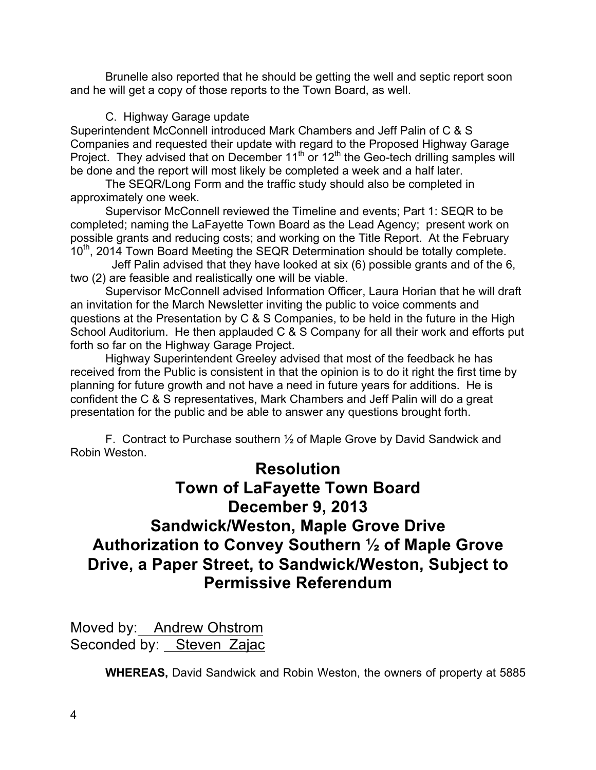Brunelle also reported that he should be getting the well and septic report soon and he will get a copy of those reports to the Town Board, as well.

## C. Highway Garage update

Superintendent McConnell introduced Mark Chambers and Jeff Palin of C & S Companies and requested their update with regard to the Proposed Highway Garage Project. They advised that on December  $11<sup>th</sup>$  or  $12<sup>th</sup>$  the Geo-tech drilling samples will be done and the report will most likely be completed a week and a half later.

The SEQR/Long Form and the traffic study should also be completed in approximately one week.

Supervisor McConnell reviewed the Timeline and events; Part 1: SEQR to be completed; naming the LaFayette Town Board as the Lead Agency; present work on possible grants and reducing costs; and working on the Title Report. At the February 10<sup>th</sup>, 2014 Town Board Meeting the SEQR Determination should be totally complete.

 Jeff Palin advised that they have looked at six (6) possible grants and of the 6, two (2) are feasible and realistically one will be viable.

Supervisor McConnell advised Information Officer, Laura Horian that he will draft an invitation for the March Newsletter inviting the public to voice comments and questions at the Presentation by C & S Companies, to be held in the future in the High School Auditorium. He then applauded C & S Company for all their work and efforts put forth so far on the Highway Garage Project.

Highway Superintendent Greeley advised that most of the feedback he has received from the Public is consistent in that the opinion is to do it right the first time by planning for future growth and not have a need in future years for additions. He is confident the C & S representatives, Mark Chambers and Jeff Palin will do a great presentation for the public and be able to answer any questions brought forth.

F. Contract to Purchase southern ½ of Maple Grove by David Sandwick and Robin Weston.

# **Resolution**

# **Town of LaFayette Town Board December 9, 2013 Sandwick/Weston, Maple Grove Drive Authorization to Convey Southern ½ of Maple Grove Drive, a Paper Street, to Sandwick/Weston, Subject to Permissive Referendum**

Moved by: Andrew Ohstrom Seconded by: Steven Zajac

**WHEREAS,** David Sandwick and Robin Weston, the owners of property at 5885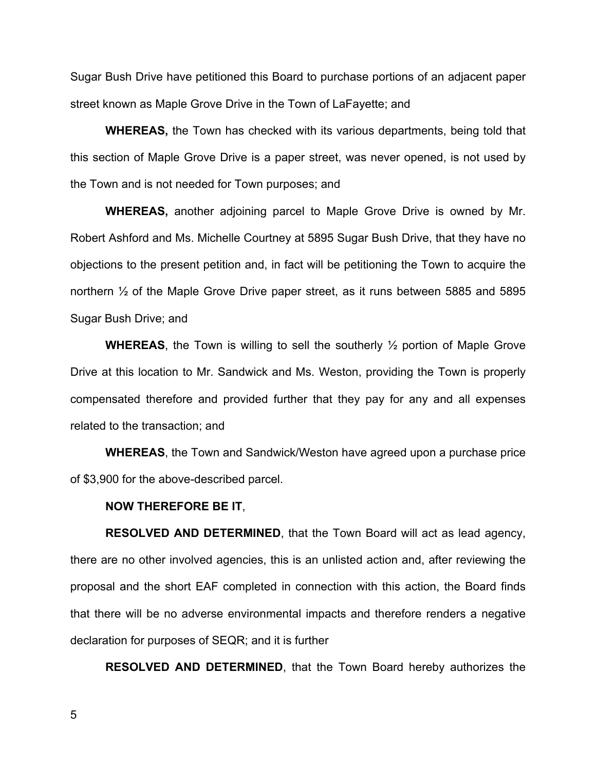Sugar Bush Drive have petitioned this Board to purchase portions of an adjacent paper street known as Maple Grove Drive in the Town of LaFayette; and

**WHEREAS,** the Town has checked with its various departments, being told that this section of Maple Grove Drive is a paper street, was never opened, is not used by the Town and is not needed for Town purposes; and

**WHEREAS,** another adjoining parcel to Maple Grove Drive is owned by Mr. Robert Ashford and Ms. Michelle Courtney at 5895 Sugar Bush Drive, that they have no objections to the present petition and, in fact will be petitioning the Town to acquire the northern ½ of the Maple Grove Drive paper street, as it runs between 5885 and 5895 Sugar Bush Drive; and

**WHEREAS**, the Town is willing to sell the southerly ½ portion of Maple Grove Drive at this location to Mr. Sandwick and Ms. Weston, providing the Town is properly compensated therefore and provided further that they pay for any and all expenses related to the transaction; and

**WHEREAS**, the Town and Sandwick/Weston have agreed upon a purchase price of \$3,900 for the above-described parcel.

#### **NOW THEREFORE BE IT**,

**RESOLVED AND DETERMINED**, that the Town Board will act as lead agency, there are no other involved agencies, this is an unlisted action and, after reviewing the proposal and the short EAF completed in connection with this action, the Board finds that there will be no adverse environmental impacts and therefore renders a negative declaration for purposes of SEQR; and it is further

**RESOLVED AND DETERMINED**, that the Town Board hereby authorizes the

5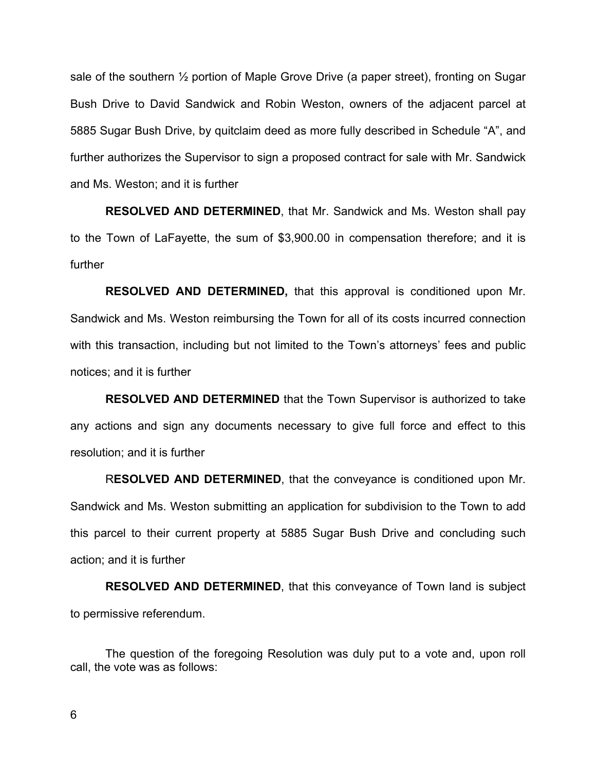sale of the southern ½ portion of Maple Grove Drive (a paper street), fronting on Sugar Bush Drive to David Sandwick and Robin Weston, owners of the adjacent parcel at 5885 Sugar Bush Drive, by quitclaim deed as more fully described in Schedule "A", and further authorizes the Supervisor to sign a proposed contract for sale with Mr. Sandwick and Ms. Weston; and it is further

**RESOLVED AND DETERMINED**, that Mr. Sandwick and Ms. Weston shall pay to the Town of LaFayette, the sum of \$3,900.00 in compensation therefore; and it is further

**RESOLVED AND DETERMINED,** that this approval is conditioned upon Mr. Sandwick and Ms. Weston reimbursing the Town for all of its costs incurred connection with this transaction, including but not limited to the Town's attorneys' fees and public notices; and it is further

**RESOLVED AND DETERMINED** that the Town Supervisor is authorized to take any actions and sign any documents necessary to give full force and effect to this resolution; and it is further

R**ESOLVED AND DETERMINED**, that the conveyance is conditioned upon Mr. Sandwick and Ms. Weston submitting an application for subdivision to the Town to add this parcel to their current property at 5885 Sugar Bush Drive and concluding such action; and it is further

**RESOLVED AND DETERMINED**, that this conveyance of Town land is subject to permissive referendum.

The question of the foregoing Resolution was duly put to a vote and, upon roll call, the vote was as follows: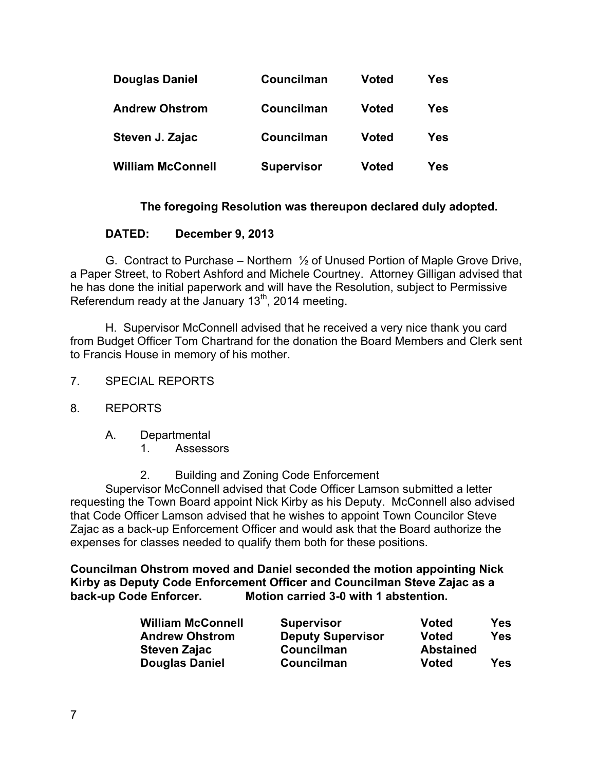| <b>Douglas Daniel</b>    | Councilman        | Voted        | Yes |
|--------------------------|-------------------|--------------|-----|
| <b>Andrew Ohstrom</b>    | Councilman        | <b>Voted</b> | Yes |
| Steven J. Zajac          | Councilman        | <b>Voted</b> | Yes |
| <b>William McConnell</b> | <b>Supervisor</b> | <b>Voted</b> | Yes |

### **The foregoing Resolution was thereupon declared duly adopted.**

#### **DATED: December 9, 2013**

G. Contract to Purchase – Northern ½ of Unused Portion of Maple Grove Drive, a Paper Street, to Robert Ashford and Michele Courtney. Attorney Gilligan advised that he has done the initial paperwork and will have the Resolution, subject to Permissive Referendum ready at the January  $13<sup>th</sup>$ , 2014 meeting.

H. Supervisor McConnell advised that he received a very nice thank you card from Budget Officer Tom Chartrand for the donation the Board Members and Clerk sent to Francis House in memory of his mother.

- 7. SPECIAL REPORTS
- 8. REPORTS
	- A. Departmental
		- 1. Assessors
		- 2. Building and Zoning Code Enforcement

Supervisor McConnell advised that Code Officer Lamson submitted a letter requesting the Town Board appoint Nick Kirby as his Deputy. McConnell also advised that Code Officer Lamson advised that he wishes to appoint Town Councilor Steve Zajac as a back-up Enforcement Officer and would ask that the Board authorize the expenses for classes needed to qualify them both for these positions.

**Councilman Ohstrom moved and Daniel seconded the motion appointing Nick Kirby as Deputy Code Enforcement Officer and Councilman Steve Zajac as a back-up Code Enforcer. Motion carried 3-0 with 1 abstention.**

| <b>William McConnell</b> | <b>Supervisor</b>        | <b>Voted</b>     | <b>Yes</b> |
|--------------------------|--------------------------|------------------|------------|
| <b>Andrew Ohstrom</b>    | <b>Deputy Supervisor</b> | Voted            | Yes        |
| Steven Zajac             | Councilman               | <b>Abstained</b> |            |
| <b>Douglas Daniel</b>    | Councilman               | Voted            | Yes        |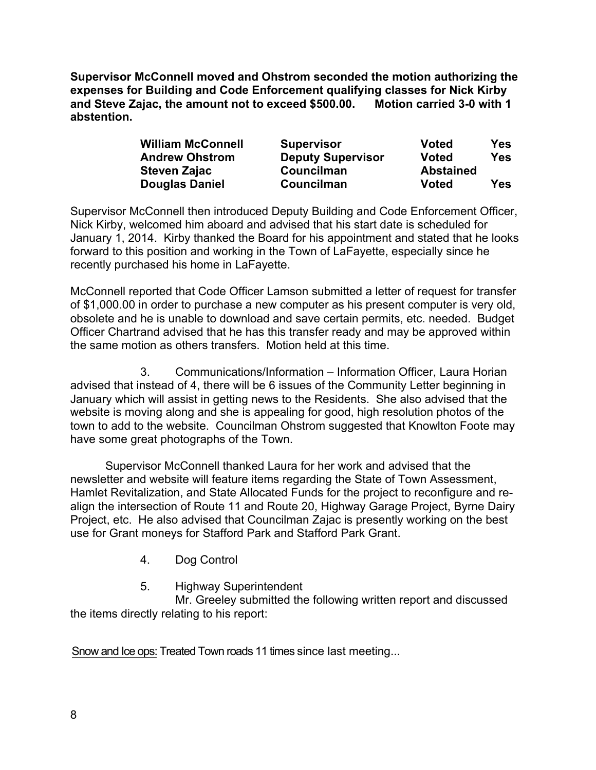**Supervisor McConnell moved and Ohstrom seconded the motion authorizing the expenses for Building and Code Enforcement qualifying classes for Nick Kirby and Steve Zajac, the amount not to exceed \$500.00. Motion carried 3-0 with 1 abstention.**

| <b>William McConnell</b> | <b>Supervisor</b>        | <b>Voted</b>     | Yes        |
|--------------------------|--------------------------|------------------|------------|
| <b>Andrew Ohstrom</b>    | <b>Deputy Supervisor</b> | Voted            | Yes        |
| <b>Steven Zajac</b>      | Councilman               | <b>Abstained</b> |            |
| <b>Douglas Daniel</b>    | <b>Councilman</b>        | Voted            | <b>Yes</b> |

Supervisor McConnell then introduced Deputy Building and Code Enforcement Officer, Nick Kirby, welcomed him aboard and advised that his start date is scheduled for January 1, 2014. Kirby thanked the Board for his appointment and stated that he looks forward to this position and working in the Town of LaFayette, especially since he recently purchased his home in LaFayette.

McConnell reported that Code Officer Lamson submitted a letter of request for transfer of \$1,000.00 in order to purchase a new computer as his present computer is very old, obsolete and he is unable to download and save certain permits, etc. needed. Budget Officer Chartrand advised that he has this transfer ready and may be approved within the same motion as others transfers. Motion held at this time.

3. Communications/Information – Information Officer, Laura Horian advised that instead of 4, there will be 6 issues of the Community Letter beginning in January which will assist in getting news to the Residents. She also advised that the website is moving along and she is appealing for good, high resolution photos of the town to add to the website. Councilman Ohstrom suggested that Knowlton Foote may have some great photographs of the Town.

Supervisor McConnell thanked Laura for her work and advised that the newsletter and website will feature items regarding the State of Town Assessment, Hamlet Revitalization, and State Allocated Funds for the project to reconfigure and realign the intersection of Route 11 and Route 20, Highway Garage Project, Byrne Dairy Project, etc. He also advised that Councilman Zajac is presently working on the best use for Grant moneys for Stafford Park and Stafford Park Grant.

4. Dog Control

# 5. Highway Superintendent

Mr. Greeley submitted the following written report and discussed the items directly relating to his report:

Snow and Ice ops: Treated Town roads 11 times since last meeting...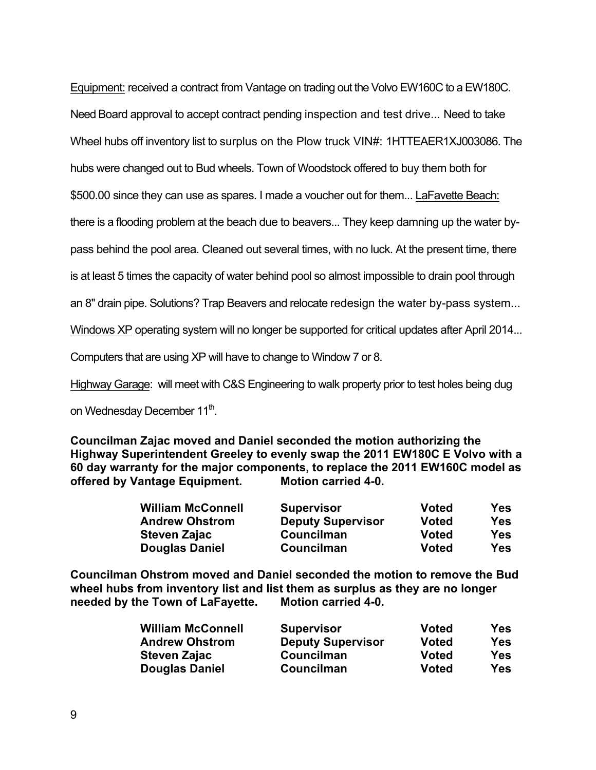Equipment: received a contract from Vantage on trading out the Volvo EW160C to a EW180C.

Need Board approval to accept contract pending inspection and test drive... Need to take

Wheel hubs off inventory list to surplus on the Plow truck VIN#: 1HTTEAER1XJ003086. The

hubs were changed out to Bud wheels. Town of Woodstock offered to buy them both for

\$500.00 since they can use as spares. I made a voucher out for them... LaFavette Beach:

there is a flooding problem at the beach due to beavers... They keep damning up the water by-

pass behind the pool area. Cleaned out several times, with no luck. At the present time, there

is at least 5 times the capacity of water behind pool so almost impossible to drain pool through

an 8" drain pipe. Solutions? Trap Beavers and relocate redesign the water by-pass system...

Windows XP operating system will no longer be supported for critical updates after April 2014...

Computers that are using XP will have to change to Window 7 or 8.

Highway Garage: will meet with C&S Engineering to walk property prior to test holes being dug

on Wednesday December 11<sup>th</sup>.

**Councilman Zajac moved and Daniel seconded the motion authorizing the Highway Superintendent Greeley to evenly swap the 2011 EW180C E Volvo with a 60 day warranty for the major components, to replace the 2011 EW160C model as offered by Vantage Equipment. Motion carried 4-0.**

| <b>William McConnell</b> | <b>Supervisor</b>        | Voted        | <b>Yes</b> |
|--------------------------|--------------------------|--------------|------------|
| <b>Andrew Ohstrom</b>    | <b>Deputy Supervisor</b> | <b>Voted</b> | Yes        |
| <b>Steven Zajac</b>      | Councilman               | Voted        | Yes        |
| <b>Douglas Daniel</b>    | Councilman               | <b>Voted</b> | Yes        |

**Councilman Ohstrom moved and Daniel seconded the motion to remove the Bud wheel hubs from inventory list and list them as surplus as they are no longer needed by the Town of LaFayette. Motion carried 4-0.**

| <b>William McConnell</b> | <b>Supervisor</b>        | <b>Voted</b> | <b>Yes</b> |
|--------------------------|--------------------------|--------------|------------|
| <b>Andrew Ohstrom</b>    | <b>Deputy Supervisor</b> | <b>Voted</b> | <b>Yes</b> |
| <b>Steven Zajac</b>      | Councilman               | <b>Voted</b> | <b>Yes</b> |
| <b>Douglas Daniel</b>    | Councilman               | <b>Voted</b> | <b>Yes</b> |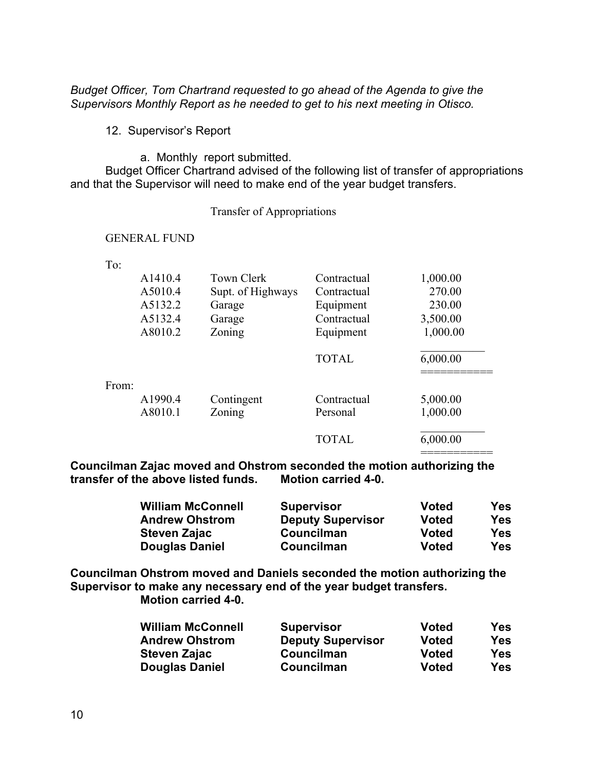*Budget Officer, Tom Chartrand requested to go ahead of the Agenda to give the Supervisors Monthly Report as he needed to get to his next meeting in Otisco.*

12. Supervisor's Report

a. Monthly report submitted.

Budget Officer Chartrand advised of the following list of transfer of appropriations and that the Supervisor will need to make end of the year budget transfers.

Transfer of Appropriations

#### GENERAL FUND

To:

|       | A <sub>14</sub> 10.4 | <b>Town Clerk</b> | Contractual  | 1,000.00 |
|-------|----------------------|-------------------|--------------|----------|
|       | A5010.4              | Supt. of Highways | Contractual  | 270.00   |
|       | A5132.2              | Garage            | Equipment    | 230.00   |
|       | A5132.4              | Garage            | Contractual  | 3,500.00 |
|       | A8010.2              | Zoning            | Equipment    | 1,000.00 |
|       |                      |                   | <b>TOTAL</b> | 6,000.00 |
| From: | A1990.4              | Contingent        | Contractual  | 5,000.00 |
|       | A8010.1              | Zoning            | Personal     | 1,000.00 |
|       |                      |                   | <b>TOTAL</b> | 6,000.00 |

**Councilman Zajac moved and Ohstrom seconded the motion authorizing the transfer of the above listed funds. Motion carried 4-0.**

| <b>William McConnell</b> | <b>Supervisor</b>        | <b>Voted</b> | <b>Yes</b> |
|--------------------------|--------------------------|--------------|------------|
| <b>Andrew Ohstrom</b>    | <b>Deputy Supervisor</b> | <b>Voted</b> | Yes        |
| <b>Steven Zajac</b>      | Councilman               | <b>Voted</b> | Yes        |
| <b>Douglas Daniel</b>    | Councilman               | <b>Voted</b> | Yes        |

**Councilman Ohstrom moved and Daniels seconded the motion authorizing the Supervisor to make any necessary end of the year budget transfers. Motion carried 4-0.**

| <b>William McConnell</b> | <b>Supervisor</b>        | Voted        | Yes |
|--------------------------|--------------------------|--------------|-----|
| <b>Andrew Ohstrom</b>    | <b>Deputy Supervisor</b> | <b>Voted</b> | Yes |
| <b>Steven Zajac</b>      | Councilman               | <b>Voted</b> | Yes |
| <b>Douglas Daniel</b>    | Councilman               | <b>Voted</b> | Yes |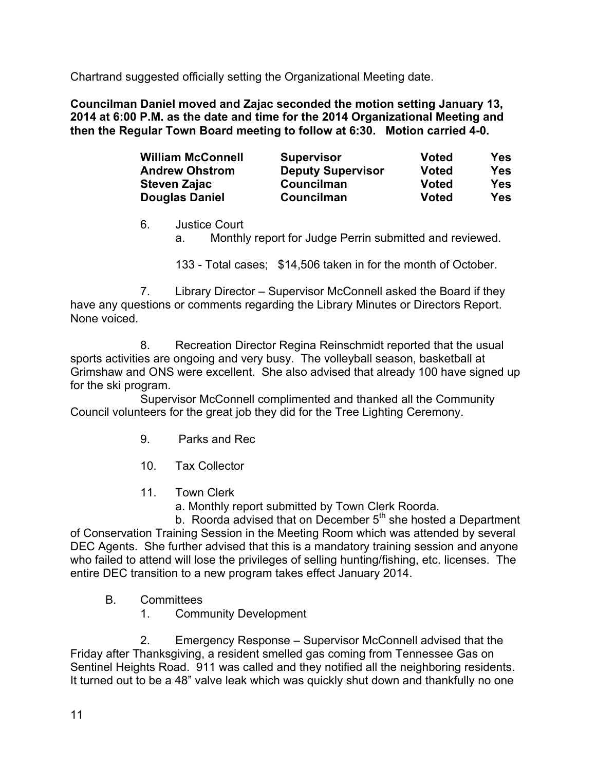Chartrand suggested officially setting the Organizational Meeting date.

**Councilman Daniel moved and Zajac seconded the motion setting January 13, 2014 at 6:00 P.M. as the date and time for the 2014 Organizational Meeting and then the Regular Town Board meeting to follow at 6:30. Motion carried 4-0.**

| <b>William McConnell</b> | <b>Supervisor</b>        | <b>Voted</b> | <b>Yes</b> |
|--------------------------|--------------------------|--------------|------------|
| <b>Andrew Ohstrom</b>    | <b>Deputy Supervisor</b> | <b>Voted</b> | <b>Yes</b> |
| <b>Steven Zajac</b>      | Councilman               | <b>Voted</b> | <b>Yes</b> |
| <b>Douglas Daniel</b>    | Councilman               | <b>Voted</b> | <b>Yes</b> |

# 6. Justice Court

a. Monthly report for Judge Perrin submitted and reviewed.

133 - Total cases; \$14,506 taken in for the month of October.

7. Library Director – Supervisor McConnell asked the Board if they have any questions or comments regarding the Library Minutes or Directors Report. None voiced.

8. Recreation Director Regina Reinschmidt reported that the usual sports activities are ongoing and very busy. The volleyball season, basketball at Grimshaw and ONS were excellent. She also advised that already 100 have signed up for the ski program.

Supervisor McConnell complimented and thanked all the Community Council volunteers for the great job they did for the Tree Lighting Ceremony.

- 9. Parks and Rec
- 10. Tax Collector
- 11. Town Clerk
	- a. Monthly report submitted by Town Clerk Roorda.

b. Roorda advised that on December  $5<sup>th</sup>$  she hosted a Department of Conservation Training Session in the Meeting Room which was attended by several DEC Agents. She further advised that this is a mandatory training session and anyone who failed to attend will lose the privileges of selling hunting/fishing, etc. licenses. The entire DEC transition to a new program takes effect January 2014.

- B. Committees
	- 1. Community Development

2. Emergency Response – Supervisor McConnell advised that the Friday after Thanksgiving, a resident smelled gas coming from Tennessee Gas on Sentinel Heights Road. 911 was called and they notified all the neighboring residents. It turned out to be a 48" valve leak which was quickly shut down and thankfully no one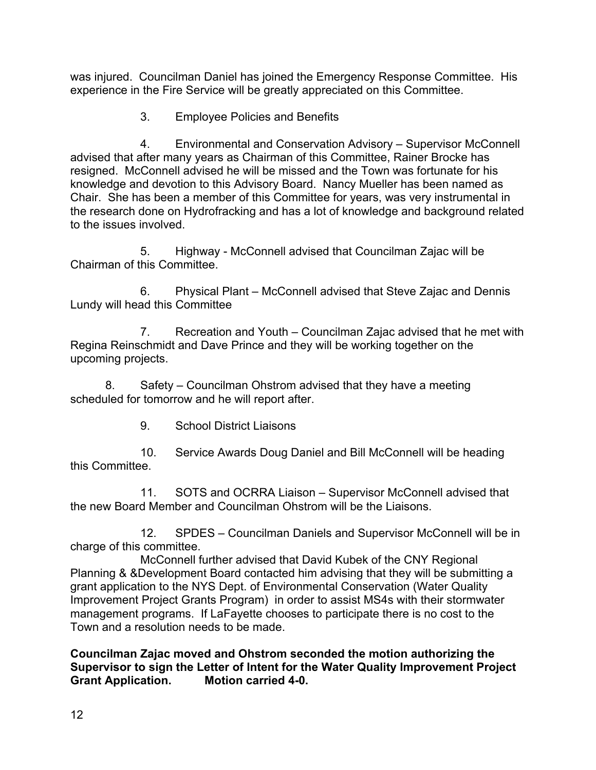was injured. Councilman Daniel has joined the Emergency Response Committee. His experience in the Fire Service will be greatly appreciated on this Committee.

3. Employee Policies and Benefits

4. Environmental and Conservation Advisory – Supervisor McConnell advised that after many years as Chairman of this Committee, Rainer Brocke has resigned. McConnell advised he will be missed and the Town was fortunate for his knowledge and devotion to this Advisory Board. Nancy Mueller has been named as Chair. She has been a member of this Committee for years, was very instrumental in the research done on Hydrofracking and has a lot of knowledge and background related to the issues involved.

5. Highway - McConnell advised that Councilman Zajac will be Chairman of this Committee.

6. Physical Plant – McConnell advised that Steve Zajac and Dennis Lundy will head this Committee

7. Recreation and Youth – Councilman Zajac advised that he met with Regina Reinschmidt and Dave Prince and they will be working together on the upcoming projects.

8. Safety – Councilman Ohstrom advised that they have a meeting scheduled for tomorrow and he will report after.

9. School District Liaisons

10. Service Awards Doug Daniel and Bill McConnell will be heading this Committee.

11. SOTS and OCRRA Liaison – Supervisor McConnell advised that the new Board Member and Councilman Ohstrom will be the Liaisons.

12. SPDES – Councilman Daniels and Supervisor McConnell will be in charge of this committee.

McConnell further advised that David Kubek of the CNY Regional Planning & &Development Board contacted him advising that they will be submitting a grant application to the NYS Dept. of Environmental Conservation (Water Quality Improvement Project Grants Program) in order to assist MS4s with their stormwater management programs. If LaFayette chooses to participate there is no cost to the Town and a resolution needs to be made.

**Councilman Zajac moved and Ohstrom seconded the motion authorizing the Supervisor to sign the Letter of Intent for the Water Quality Improvement Project Grant Application. Motion carried 4-0.**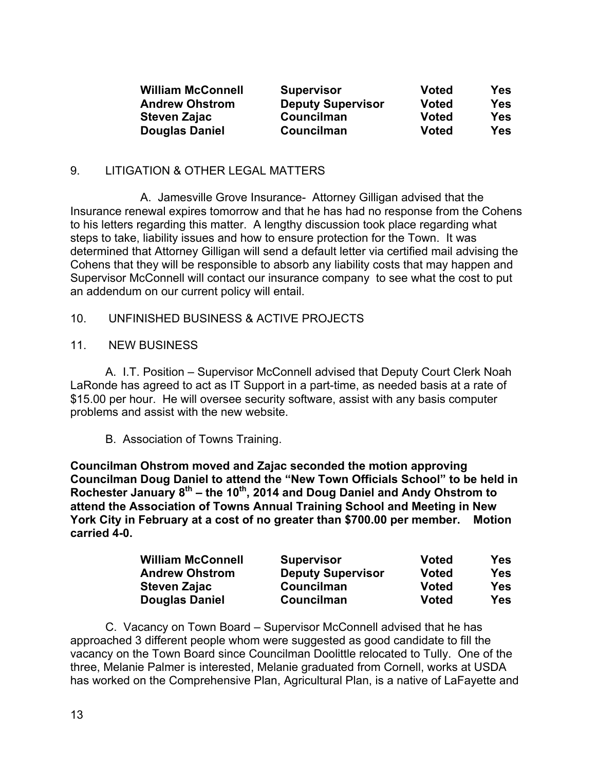| <b>William McConnell</b> | <b>Supervisor</b>        | Voted        | Yes |
|--------------------------|--------------------------|--------------|-----|
| <b>Andrew Ohstrom</b>    | <b>Deputy Supervisor</b> | <b>Voted</b> | Yes |
| <b>Steven Zajac</b>      | Councilman               | Voted        | Yes |
| <b>Douglas Daniel</b>    | Councilman               | Voted        | Yes |

#### 9. LITIGATION & OTHER LEGAL MATTERS

A. Jamesville Grove Insurance- Attorney Gilligan advised that the Insurance renewal expires tomorrow and that he has had no response from the Cohens to his letters regarding this matter. A lengthy discussion took place regarding what steps to take, liability issues and how to ensure protection for the Town. It was determined that Attorney Gilligan will send a default letter via certified mail advising the Cohens that they will be responsible to absorb any liability costs that may happen and Supervisor McConnell will contact our insurance company to see what the cost to put an addendum on our current policy will entail.

- 10. UNFINISHED BUSINESS & ACTIVE PROJECTS
- 11. NEW BUSINESS

A. I.T. Position – Supervisor McConnell advised that Deputy Court Clerk Noah LaRonde has agreed to act as IT Support in a part-time, as needed basis at a rate of \$15.00 per hour. He will oversee security software, assist with any basis computer problems and assist with the new website.

B. Association of Towns Training.

**Councilman Ohstrom moved and Zajac seconded the motion approving Councilman Doug Daniel to attend the "New Town Officials School" to be held in Rochester January 8th – the 10th, 2014 and Doug Daniel and Andy Ohstrom to attend the Association of Towns Annual Training School and Meeting in New York City in February at a cost of no greater than \$700.00 per member. Motion carried 4-0.**

| <b>William McConnell</b> | <b>Supervisor</b>        | Voted        | <b>Yes</b> |
|--------------------------|--------------------------|--------------|------------|
| <b>Andrew Ohstrom</b>    | <b>Deputy Supervisor</b> | <b>Voted</b> | Yes        |
| Steven Zajac             | Councilman               | <b>Voted</b> | Yes        |
| <b>Douglas Daniel</b>    | <b>Councilman</b>        | <b>Voted</b> | Yes        |

C. Vacancy on Town Board – Supervisor McConnell advised that he has approached 3 different people whom were suggested as good candidate to fill the vacancy on the Town Board since Councilman Doolittle relocated to Tully. One of the three, Melanie Palmer is interested, Melanie graduated from Cornell, works at USDA has worked on the Comprehensive Plan, Agricultural Plan, is a native of LaFayette and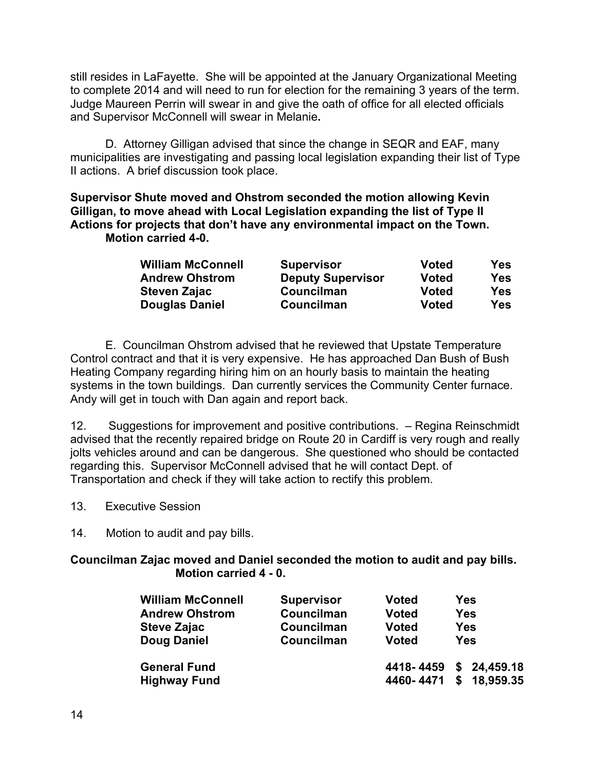still resides in LaFayette. She will be appointed at the January Organizational Meeting to complete 2014 and will need to run for election for the remaining 3 years of the term. Judge Maureen Perrin will swear in and give the oath of office for all elected officials and Supervisor McConnell will swear in Melanie**.**

D. Attorney Gilligan advised that since the change in SEQR and EAF, many municipalities are investigating and passing local legislation expanding their list of Type II actions. A brief discussion took place.

**Supervisor Shute moved and Ohstrom seconded the motion allowing Kevin Gilligan, to move ahead with Local Legislation expanding the list of Type II Actions for projects that don't have any environmental impact on the Town. Motion carried 4-0.**

| <b>William McConnell</b> | <b>Supervisor</b>        | <b>Voted</b> | <b>Yes</b> |
|--------------------------|--------------------------|--------------|------------|
| <b>Andrew Ohstrom</b>    | <b>Deputy Supervisor</b> | <b>Voted</b> | <b>Yes</b> |
| <b>Steven Zajac</b>      | Councilman               | Voted        | <b>Yes</b> |
| <b>Douglas Daniel</b>    | <b>Councilman</b>        | Voted        | <b>Yes</b> |

E. Councilman Ohstrom advised that he reviewed that Upstate Temperature Control contract and that it is very expensive. He has approached Dan Bush of Bush Heating Company regarding hiring him on an hourly basis to maintain the heating systems in the town buildings. Dan currently services the Community Center furnace. Andy will get in touch with Dan again and report back.

12. Suggestions for improvement and positive contributions. – Regina Reinschmidt advised that the recently repaired bridge on Route 20 in Cardiff is very rough and really jolts vehicles around and can be dangerous. She questioned who should be contacted regarding this. Supervisor McConnell advised that he will contact Dept. of Transportation and check if they will take action to rectify this problem.

- 13. Executive Session
- 14. Motion to audit and pay bills.

#### **Councilman Zajac moved and Daniel seconded the motion to audit and pay bills. Motion carried 4 - 0.**

| <b>William McConnell</b> | <b>Supervisor</b> | <b>Voted</b>           | <b>Yes</b> |           |
|--------------------------|-------------------|------------------------|------------|-----------|
| <b>Andrew Ohstrom</b>    | Councilman        | <b>Voted</b>           | <b>Yes</b> |           |
| <b>Steve Zajac</b>       | Councilman        | <b>Voted</b>           | <b>Yes</b> |           |
| <b>Doug Daniel</b>       | Councilman        | <b>Voted</b>           | Yes        |           |
| <b>General Fund</b>      |                   | 4418-4459 \$ 24,459.18 |            |           |
| <b>Highway Fund</b>      |                   | 4460-4471              | \$         | 18,959.35 |